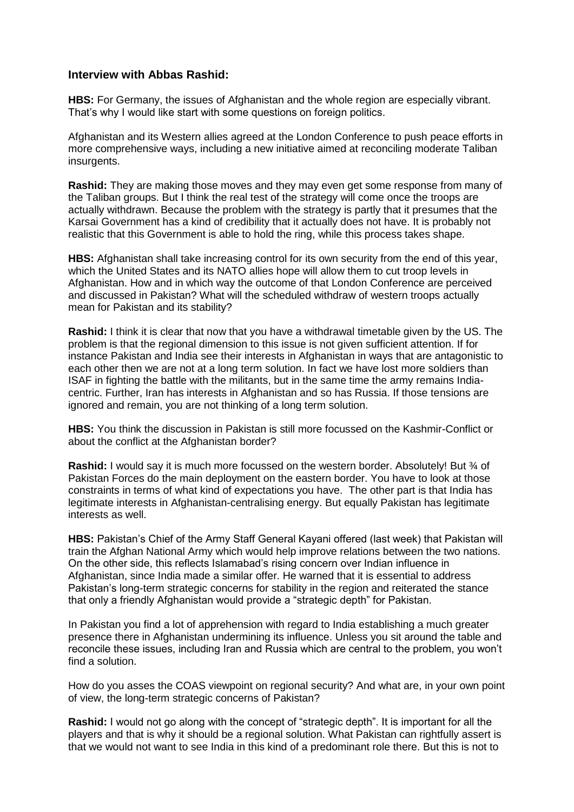## **Interview with Abbas Rashid:**

**HBS:** For Germany, the issues of Afghanistan and the whole region are especially vibrant. That's why I would like start with some questions on foreign politics.

Afghanistan and its Western allies agreed at the London Conference to push peace efforts in more comprehensive ways, including a new initiative aimed at reconciling moderate Taliban insurgents.

**Rashid:** They are making those moves and they may even get some response from many of the Taliban groups. But I think the real test of the strategy will come once the troops are actually withdrawn. Because the problem with the strategy is partly that it presumes that the Karsai Government has a kind of credibility that it actually does not have. It is probably not realistic that this Government is able to hold the ring, while this process takes shape.

**HBS:** Afghanistan shall take increasing control for its own security from the end of this year, which the United States and its NATO allies hope will allow them to cut troop levels in Afghanistan. How and in which way the outcome of that London Conference are perceived and discussed in Pakistan? What will the scheduled withdraw of western troops actually mean for Pakistan and its stability?

**Rashid:** I think it is clear that now that you have a withdrawal timetable given by the US. The problem is that the regional dimension to this issue is not given sufficient attention. If for instance Pakistan and India see their interests in Afghanistan in ways that are antagonistic to each other then we are not at a long term solution. In fact we have lost more soldiers than ISAF in fighting the battle with the militants, but in the same time the army remains Indiacentric. Further, Iran has interests in Afghanistan and so has Russia. If those tensions are ignored and remain, you are not thinking of a long term solution.

**HBS:** You think the discussion in Pakistan is still more focussed on the Kashmir-Conflict or about the conflict at the Afghanistan border?

**Rashid:** I would say it is much more focussed on the western border. Absolutely! But <sup>3</sup>/<sub>4</sub> of Pakistan Forces do the main deployment on the eastern border. You have to look at those constraints in terms of what kind of expectations you have. The other part is that India has legitimate interests in Afghanistan-centralising energy. But equally Pakistan has legitimate interests as well.

**HBS:** Pakistan's Chief of the Army Staff General Kayani offered (last week) that Pakistan will train the Afghan National Army which would help improve relations between the two nations. On the other side, this reflects Islamabad's rising concern over Indian influence in Afghanistan, since India made a similar offer. He warned that it is essential to address Pakistan's long-term strategic concerns for stability in the region and reiterated the stance that only a friendly Afghanistan would provide a "strategic depth" for Pakistan.

In Pakistan you find a lot of apprehension with regard to India establishing a much greater presence there in Afghanistan undermining its influence. Unless you sit around the table and reconcile these issues, including Iran and Russia which are central to the problem, you won't find a solution.

How do you asses the COAS viewpoint on regional security? And what are, in your own point of view, the long-term strategic concerns of Pakistan?

**Rashid:** I would not go along with the concept of "strategic depth". It is important for all the players and that is why it should be a regional solution. What Pakistan can rightfully assert is that we would not want to see India in this kind of a predominant role there. But this is not to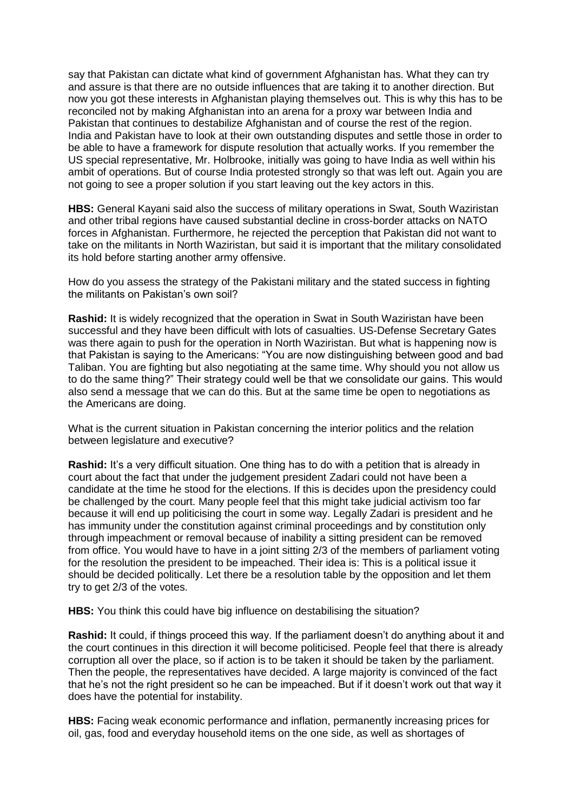say that Pakistan can dictate what kind of government Afghanistan has. What they can try and assure is that there are no outside influences that are taking it to another direction. But now you got these interests in Afghanistan playing themselves out. This is why this has to be reconciled not by making Afghanistan into an arena for a proxy war between India and Pakistan that continues to destabilize Afghanistan and of course the rest of the region. India and Pakistan have to look at their own outstanding disputes and settle those in order to be able to have a framework for dispute resolution that actually works. If you remember the US special representative, Mr. Holbrooke, initially was going to have India as well within his ambit of operations. But of course India protested strongly so that was left out. Again you are not going to see a proper solution if you start leaving out the key actors in this.

**HBS:** General Kayani said also the success of military operations in Swat, South Waziristan and other tribal regions have caused substantial decline in cross-border attacks on NATO forces in Afghanistan. Furthermore, he rejected the perception that Pakistan did not want to take on the militants in North Waziristan, but said it is important that the military consolidated its hold before starting another army offensive.

How do you assess the strategy of the Pakistani military and the stated success in fighting the militants on Pakistan's own soil?

**Rashid:** It is widely recognized that the operation in Swat in South Waziristan have been successful and they have been difficult with lots of casualties. US-Defense Secretary Gates was there again to push for the operation in North Waziristan. But what is happening now is that Pakistan is saying to the Americans: "You are now distinguishing between good and bad Taliban. You are fighting but also negotiating at the same time. Why should you not allow us to do the same thing?" Their strategy could well be that we consolidate our gains. This would also send a message that we can do this. But at the same time be open to negotiations as the Americans are doing.

What is the current situation in Pakistan concerning the interior politics and the relation between legislature and executive?

**Rashid:** It's a very difficult situation. One thing has to do with a petition that is already in court about the fact that under the judgement president Zadari could not have been a candidate at the time he stood for the elections. If this is decides upon the presidency could be challenged by the court. Many people feel that this might take judicial activism too far because it will end up politicising the court in some way. Legally Zadari is president and he has immunity under the constitution against criminal proceedings and by constitution only through impeachment or removal because of inability a sitting president can be removed from office. You would have to have in a joint sitting 2/3 of the members of parliament voting for the resolution the president to be impeached. Their idea is: This is a political issue it should be decided politically. Let there be a resolution table by the opposition and let them try to get 2/3 of the votes.

**HBS:** You think this could have big influence on destabilising the situation?

**Rashid:** It could, if things proceed this way. If the parliament doesn't do anything about it and the court continues in this direction it will become politicised. People feel that there is already corruption all over the place, so if action is to be taken it should be taken by the parliament. Then the people, the representatives have decided. A large majority is convinced of the fact that he's not the right president so he can be impeached. But if it doesn't work out that way it does have the potential for instability.

**HBS:** Facing weak economic performance and inflation, permanently increasing prices for oil, gas, food and everyday household items on the one side, as well as shortages of